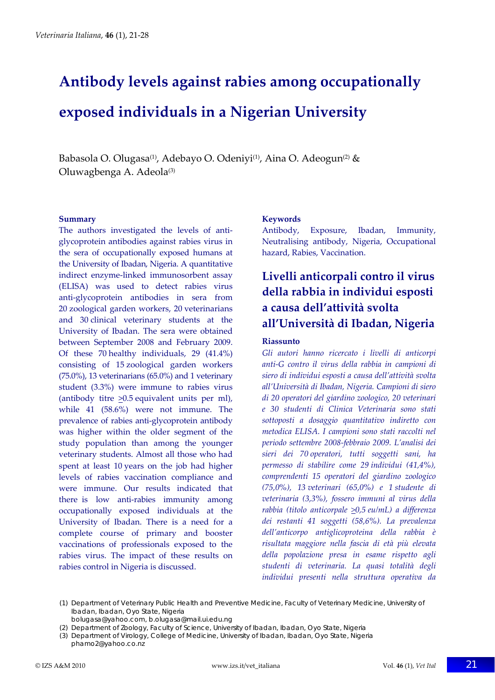# **Antibody levels against rabies among occupationally exposed individuals in a Nigerian University**

Babasola O. Olugasa<sup>(1)</sup>, Adebayo O. Odeniyi<sup>(1)</sup>, Aina O. Adeogun<sup>(2)</sup> & Oluwagbenga A. Adeola<sup>(3)</sup>

#### **Summary**

The authors investigated the levels of antiglycoprotein antibodies against rabies virus in the sera of occupationally exposed humans at the University of Ibadan, Nigeria. A quantitative indirect enzyme‐linked immunosorbent assay (ELISA) was used to detect rabies virus anti‐glycoprotein antibodies in sera from 20 zoological garden workers, 20 veterinarians and 30 clinical veterinary students at the University of Ibadan. The sera were obtained between September 2008 and February 2009. Of these 70 healthy individuals, 29 (41.4%) consisting of 15 zoological garden workers (75.0%), 13 veterinarians (65.0%) and 1 veterinary student (3.3%) were immune to rabies virus (antibody titre >0.5 equivalent units per ml), while 41 (58.6%) were not immune. The prevalence of rabies anti‐glycoprotein antibody was higher within the older segment of the study population than among the younger veterinary students. Almost all those who had spent at least 10 years on the job had higher levels of rabies vaccination compliance and were immune. Our results indicated that there is low anti-rabies immunity among occupationally exposed individuals at the University of Ibadan. There is a need for a complete course of primary and booster vaccinations of professionals exposed to the rabies virus. The impact of these results on rabies control in Nigeria is discussed.

### **Keywords**

Antibody, Exposure, Ibadan, Immunity, Neutralising antibody, Nigeria, Occupational hazard, Rabies, Vaccination.

# **Livelli anticorpali contro il virus della rabbia in individui esposti a causa dell'attività svolta all'Università di Ibadan, Nigeria**

### **Riassunto**

*Gli autori hanno ricercato i livelli di anticorpi anti‐G contro il virus della rabbia in campioni di siero di individui esposti a causa dell'attività svolta all'Università di Ibadan, Nigeria. Campioni di siero di 20 operatori del giardino zoologico, 20 veterinari e 30 studenti di Clinica Veterinaria sono stati sottoposti a dosaggio quantitativo indiretto con metodica ELISA. I campioni sono stati raccolti nel periodo settembre 2008‐febbraio 2009. L'analisi dei sieri dei 70 operatori, tutti soggetti sani, ha permesso di stabilire come 29 individui (41,4%), comprendenti 15 operatori del giardino zoologico (75,0%), 13 veterinari (65,0%) e 1 studente di veterinaria (3,3%), fossero immuni al virus della rabbia (titolo anticorpale >0,5 eu/mL) a differenza dei restanti 41 soggetti (58,6%). La prevalenza dell'anticorpo antiglicoproteina della rabbia è risultata maggiore nella fascia di età più elevata della popolazione presa in esame rispetto agli studenti di veterinaria. La quasi totalità degli individui presenti nella struttura operativa da*

(1) Department of Veterinary Public Health and Preventive Medicine, Faculty of Veterinary Medicine, University of Ibadan, Ibadan, Oyo State, Nigeria

- bolugasa@yahoo.com, b.olugasa@mail.ui.edu.ng
- (2) Department of Zoology, Faculty of Science, University of Ibadan, Ibadan, Oyo State, Nigeria
- (3) Department of Virology, College of Medicine, University of Ibadan, Ibadan, Oyo State, Nigeria phamo2@yahoo.co.nz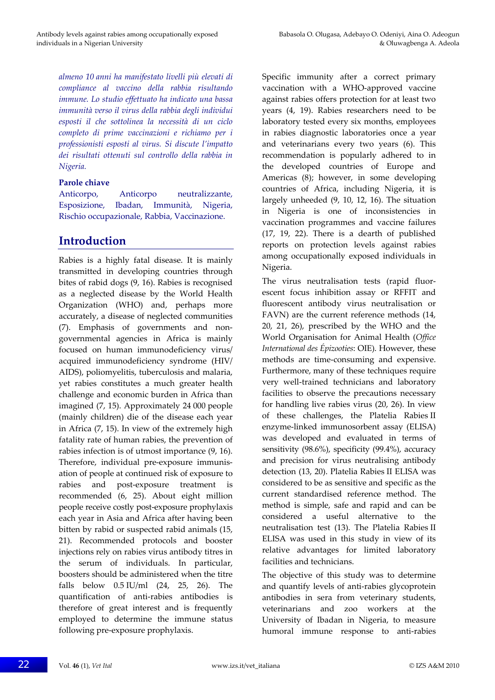*almeno 10 anni ha manifestato livelli più elevati di compliance al vaccino della rabbia risultando immune. Lo studio effettuato ha indicato una bassa immunità verso il virus della rabbia degli individui esposti il che sottolinea la necessità di un ciclo completo di prime vaccinazioni e richiamo per i professionisti esposti al virus. Si discute l'impatto dei risultati ottenuti sul controllo della rabbia in Nigeria.*

### **Parole chiave**

Anticorpo, Anticorpo neutralizzante, Esposizione, Ibadan, Immunità, Nigeria, Rischio occupazionale, Rabbia, Vaccinazione.

# **Introduction**

Rabies is a highly fatal disease. It is mainly transmitted in developing countries through bites of rabid dogs (9, 16). Rabies is recognised as a neglected disease by the World Health Organization (WHO) and, perhaps more accurately, a disease of neglected communities (7). Emphasis of governments and non‐ governmental agencies in Africa is mainly focused on human immunodeficiency virus/ acquired immunodeficiency syndrome (HIV/ AIDS), poliomyelitis, tuberculosis and malaria, yet rabies constitutes a much greater health challenge and economic burden in Africa than imagined (7, 15). Approximately 24 000 people (mainly children) die of the disease each year in Africa (7, 15). In view of the extremely high fatality rate of human rabies, the prevention of rabies infection is of utmost importance (9, 16). Therefore, individual pre‐exposure immunis‐ ation of people at continued risk of exposure to rabies and post‐exposure treatment is recommended (6, 25). About eight million people receive costly post‐exposure prophylaxis each year in Asia and Africa after having been bitten by rabid or suspected rabid animals (15, 21). Recommended protocols and booster injections rely on rabies virus antibody titres in the serum of individuals. In particular, boosters should be administered when the titre falls below 0.5 IU/ml (24, 25, 26). The quantification of anti-rabies antibodies is therefore of great interest and is frequently employed to determine the immune status following pre‐exposure prophylaxis.

Specific immunity after a correct primary vaccination with a WHO‐approved vaccine against rabies offers protection for at least two years (4, 19). Rabies researchers need to be laboratory tested every six months, employees in rabies diagnostic laboratories once a year and veterinarians every two years (6). This recommendation is popularly adhered to in the developed countries of Europe and Americas (8); however, in some developing countries of Africa, including Nigeria, it is largely unheeded (9, 10, 12, 16). The situation in Nigeria is one of inconsistencies in vaccination programmes and vaccine failures (17, 19, 22). There is a dearth of published reports on protection levels against rabies among occupationally exposed individuals in Nigeria.

The virus neutralisation tests (rapid fluorescent focus inhibition assay or RFFIT and fluorescent antibody virus neutralisation or FAVN) are the current reference methods (14, 20, 21, 26), prescribed by the WHO and the World Organisation for Animal Health (*Office International des Épizooties*: OIE). However, these methods are time‐consuming and expensive. Furthermore, many of these techniques require very well‐trained technicians and laboratory facilities to observe the precautions necessary for handling live rabies virus (20, 26). In view of these challenges, the Platelia Rabies II enzyme‐linked immunosorbent assay (ELISA) was developed and evaluated in terms of sensitivity (98.6%), specificity (99.4%), accuracy and precision for virus neutralising antibody detection (13, 20). Platelia Rabies II ELISA was considered to be as sensitive and specific as the current standardised reference method. The method is simple, safe and rapid and can be considered a useful alternative to the neutralisation test (13). The Platelia Rabies II ELISA was used in this study in view of its relative advantages for limited laboratory facilities and technicians.

The objective of this study was to determine and quantify levels of anti‐rabies glycoprotein antibodies in sera from veterinary students, veterinarians and zoo workers at the University of Ibadan in Nigeria, to measure humoral immune response to anti-rabies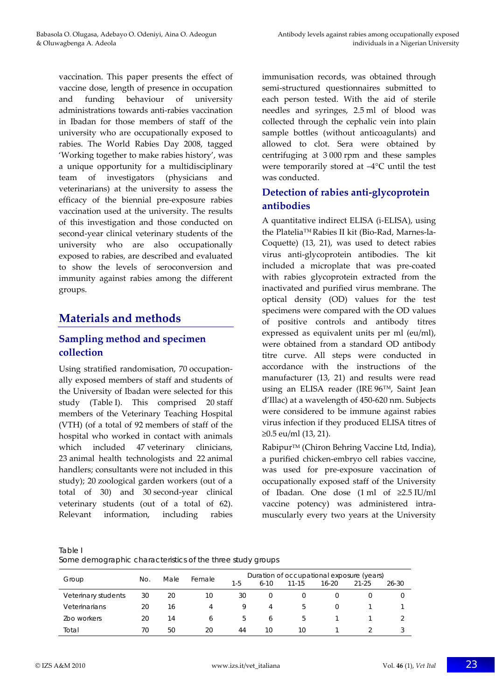vaccination. This paper presents the effect of vaccine dose, length of presence in occupation and funding behaviour of university administrations towards anti‐rabies vaccination in Ibadan for those members of staff of the university who are occupationally exposed to rabies. The World Rabies Day 2008, tagged 'Working together to make rabies history', was a unique opportunity for a multidisciplinary team of investigators (physicians and veterinarians) at the university to assess the efficacy of the biennial pre‐exposure rabies vaccination used at the university. The results of this investigation and those conducted on second-year clinical veterinary students of the university who are also occupationally exposed to rabies, are described and evaluated to show the levels of seroconversion and immunity against rabies among the different groups.

# **Materials and methods**

## **Sampling method and specimen collection**

Using stratified randomisation, 70 occupation‐ ally exposed members of staff and students of the University of Ibadan were selected for this study (Table I). This comprised 20 staff members of the Veterinary Teaching Hospital (VTH) (of a total of 92 members of staff of the hospital who worked in contact with animals which included 47 veterinary clinicians, 23 animal health technologists and 22 animal handlers; consultants were not included in this study); 20 zoological garden workers (out of a total of 30) and 30 second‐year clinical veterinary students (out of a total of 62). Relevant information, including rabies

immunisation records, was obtained through semi-structured questionnaires submitted to each person tested. With the aid of sterile needles and syringes, 2.5 ml of blood was collected through the cephalic vein into plain sample bottles (without anticoagulants) and allowed to clot. Sera were obtained by centrifuging at 3 000 rpm and these samples were temporarily stored at –4°C until the test was conducted.

## **Detection of rabies anti‐glycoprotein antibodies**

A quantitative indirect ELISA (i‐ELISA), using the Platelia™Rabies II kit (Bio‐Rad, Marnes‐la‐ Coquette) (13, 21), was used to detect rabies virus anti‐glycoprotein antibodies. The kit included a microplate that was pre‐coated with rabies glycoprotein extracted from the inactivated and purified virus membrane. The optical density (OD) values for the test specimens were compared with the OD values of positive controls and antibody titres expressed as equivalent units per ml (eu/ml), were obtained from a standard OD antibody titre curve. All steps were conducted in accordance with the instructions of the manufacturer (13, 21) and results were read using an ELISA reader (IRE 96™, Saint Jean d'Illac) at a wavelength of 450‐620 nm. Subjects were considered to be immune against rabies virus infection if they produced ELISA titres of ≥0.5 eu/ml (13, 21).

Rabipur<sup>™</sup> (Chiron Behring Vaccine Ltd, India), a purified chicken‐embryo cell rabies vaccine, was used for pre‐exposure vaccination of occupationally exposed staff of the University of Ibadan. One dose  $(1 \text{ ml of } \ge 2.5 \text{ IU/ml})$ vaccine potency) was administered intra‐ muscularly every two years at the University

Table I

|                     |     | Male | Female | Duration of occupational exposure (years) |          |               |           |           |       |  |
|---------------------|-----|------|--------|-------------------------------------------|----------|---------------|-----------|-----------|-------|--|
| Group               | No. |      |        | $1-5$                                     | $6-10$   | $11 - 15$     | $16 - 20$ | $21 - 25$ | 26-30 |  |
| Veterinary students | 30  | 20   | 10     | 30                                        | $\Omega$ |               |           |           |       |  |
| Veterinarians       | 20  | 16   | 4      | 9                                         | 4        | $\mathcal{L}$ | 0         |           |       |  |
| Zoo workers         | 20  | 14   | 6      | b                                         | 6        | $\mathcal{L}$ |           |           |       |  |
| Total               | 70  | 50   | 20     | 44                                        | 10       | 10            |           |           |       |  |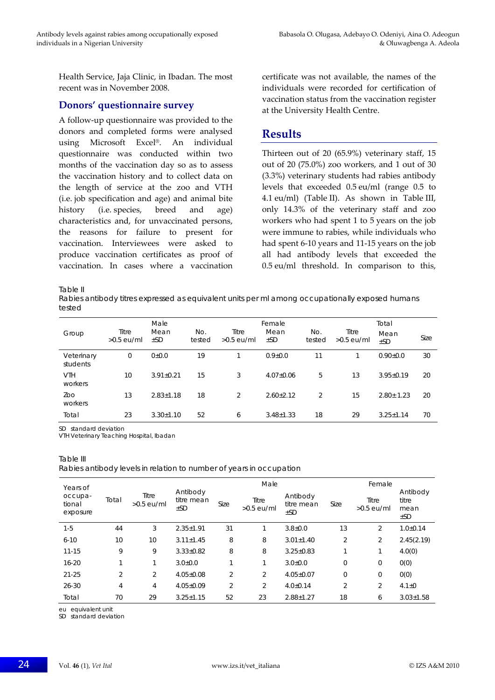Health Service, Jaja Clinic, in Ibadan. The most recent was in November 2008.

## **Donors' questionnaire survey**

A follow‐up questionnaire was provided to the donors and completed forms were analysed using Microsoft Excel®. An individual questionnaire was conducted within two months of the vaccination day so as to assess the vaccination history and to collect data on the length of service at the zoo and VTH (i.e. job specification and age) and animal bite history (i.e. species, breed and age) characteristics and, for unvaccinated persons, the reasons for failure to present for vaccination. Interviewees were asked to produce vaccination certificates as proof of vaccination. In cases where a vaccination

certificate was not available, the names of the individuals were recorded for certification of vaccination status from the vaccination register at the University Health Centre.

## **Results**

Thirteen out of 20 (65.9%) veterinary staff, 15 out of 20 (75.0%) zoo workers, and 1 out of 30 (3.3%) veterinary students had rabies antibody levels that exceeded 0.5 eu/ml (range 0.5 to 4.1 eu/ml) (Table II). As shown in Table III, only 14.3% of the veterinary staff and zoo workers who had spent 1 to 5 years on the job were immune to rabies, while individuals who had spent 6‐10 years and 11‐15 years on the job all had antibody levels that exceeded the 0.5 eu/ml threshold. In comparison to this,

Table II

Rabies antibody titres expressed as equivalent units per ml among occupationally exposed humans tested

| Group                  | Titre<br>$>0.5$ eu/ml | Male<br>Mean<br>$\pm$ SD | No.<br>tested | Titre<br>$>0.5$ eu/ml | Female<br>Mean<br>$\pm$ SD | No.<br>tested | Titre<br>$>0.5$ eu/ml | Total<br>Mean<br>$\pm$ SD | Size |
|------------------------|-----------------------|--------------------------|---------------|-----------------------|----------------------------|---------------|-----------------------|---------------------------|------|
| Veterinary<br>students | 0                     | 0.010                    | 19            |                       | $0.9 + 0.0$                | 11            |                       | $0.90 \pm 0.0$            | 30   |
| <b>VTH</b><br>workers  | 10                    | $3.91 \pm 0.21$          | 15            | 3                     | $4.07 \pm 0.06$            | 5             | 13                    | $3.95 + 0.19$             | 20   |
| Zoo<br>workers         | 13                    | $2.83 \pm 1.18$          | 18            | 2                     | $2.60 \pm 2.12$            | 2             | 15                    | $2.80 \pm 1.23$           | 20   |
| Total                  | 23                    | $3.30 \pm 1.10$          | 52            | 6                     | $3.48 \pm 1.33$            | 18            | 29                    | $3.25 \pm 1.14$           | 70   |

SD standard deviation

VTH Veterinary Teaching Hospital, Ibadan

#### Table III

Rabies antibody levels in relation to number of years in occupation

| Years of<br>occupa-<br>tional<br>exposure |                | Titre<br>$>0.5$ eu/ml | Antibody<br>titre mean<br>$\pm$ SD |                | Male                  |                                    | Female |                       |                                       |  |
|-------------------------------------------|----------------|-----------------------|------------------------------------|----------------|-----------------------|------------------------------------|--------|-----------------------|---------------------------------------|--|
|                                           | Total          |                       |                                    | Size           | Titre<br>$>0.5$ eu/ml | Antibody<br>titre mean<br>$\pm$ SD | Size   | Titre<br>$>0.5$ eu/ml | Antibody<br>titre<br>mean<br>$\pm$ SD |  |
| $1-5$                                     | 44             | 3                     | $2.35 \pm 1.91$                    | 31             | 1                     | $3.8{\pm}0.0$                      | 13     | 2                     | $1.0 \pm 0.14$                        |  |
| $6 - 10$                                  | 10             | 10                    | $3.11 \pm 1.45$                    | 8              | 8                     | $3.01 \pm 1.40$                    | 2      | $\overline{2}$        | 2.45(2.19)                            |  |
| $11 - 15$                                 | 9              | 9                     | $3.33 \pm 0.82$                    | 8              | 8                     | $3.25 \pm 0.83$                    | 1      | 1                     | 4.0(0)                                |  |
| $16 - 20$                                 | 1              |                       | $3.0{\pm}0.0$                      | 1              | 1                     | $3.0{\pm}0.0$                      | 0      | 0                     | 0(0)                                  |  |
| $21 - 25$                                 | $\overline{2}$ | $\overline{2}$        | $4.05 \pm 0.08$                    | $\overline{2}$ | $\overline{2}$        | $4.05 \pm 0.07$                    | 0      | 0                     | 0(0)                                  |  |
| $26 - 30$                                 | 4              | 4                     | $4.05 \pm 0.09$                    | 2              | $\overline{2}$        | $4.0 \pm 0.14$                     | 2      | 2                     | $4.1 \pm 0$                           |  |
| Total                                     | 70             | 29                    | $3.25 \pm 1.15$                    | 52             | 23                    | $2.88 \pm 1.27$                    | 18     | 6                     | $3.03 \pm 1.58$                       |  |

eu equivalent unit

SD standard deviation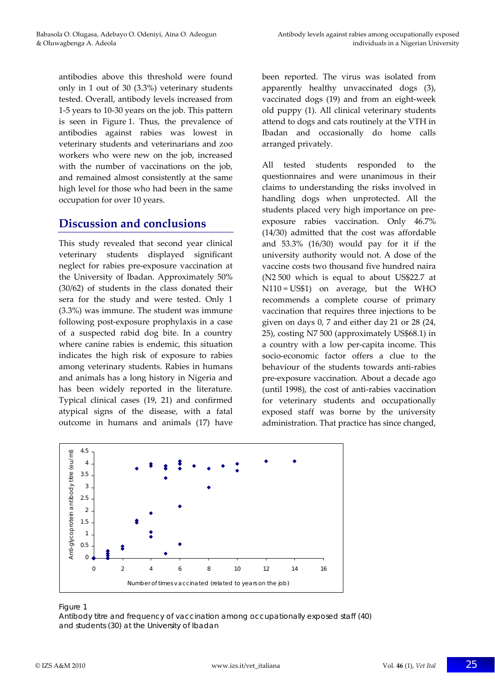antibodies above this threshold were found only in 1 out of 30 (3.3%) veterinary students tested. Overall, antibody levels increased from 1‐5 years to 10‐30 years on the job. This pattern is seen in Figure 1. Thus, the prevalence of antibodies against rabies was lowest in veterinary students and veterinarians and zoo workers who were new on the job, increased with the number of vaccinations on the job, and remained almost consistently at the same high level for those who had been in the same occupation for over 10 years.

## **Discussion and conclusions**

This study revealed that second year clinical veterinary students displayed significant neglect for rabies pre‐exposure vaccination at the University of Ibadan. Approximately 50% (30/62) of students in the class donated their sera for the study and were tested. Only 1 (3.3%) was immune. The student was immune following post‐exposure prophylaxis in a case of a suspected rabid dog bite. In a country where canine rabies is endemic, this situation indicates the high risk of exposure to rabies among veterinary students. Rabies in humans and animals has a long history in Nigeria and has been widely reported in the literature. Typical clinical cases (19, 21) and confirmed atypical signs of the disease, with a fatal outcome in humans and animals (17) have

been reported. The virus was isolated from apparently healthy unvaccinated dogs (3), vaccinated dogs (19) and from an eight‐week old puppy (1). All clinical veterinary students attend to dogs and cats routinely at the VTH in Ibadan and occasionally do home calls arranged privately.

All tested students responded to the questionnaires and were unanimous in their claims to understanding the risks involved in handling dogs when unprotected. All the students placed very high importance on pre‐ exposure rabies vaccination. Only 46.7% (14/30) admitted that the cost was affordable and 53.3% (16/30) would pay for it if the university authority would not. A dose of the vaccine costs two thousand five hundred naira (N2 500 which is equal to about US\$22.7 at N110 = US\$1) on average, but the WHO recommends a complete course of primary vaccination that requires three injections to be given on days 0, 7 and either day 21 or 28 (24, 25), costing N7 500 (approximately US\$68.1) in a country with a low per‐capita income. This socio‐economic factor offers a clue to the behaviour of the students towards anti‐rabies pre‐exposure vaccination. About a decade ago (until 1998), the cost of anti‐rabies vaccination for veterinary students and occupationally exposed staff was borne by the university administration. That practice has since changed,



#### Figure 1

Antibody titre and frequency of vaccination among occupationally exposed staff (40) and students (30) at the University of Ibadan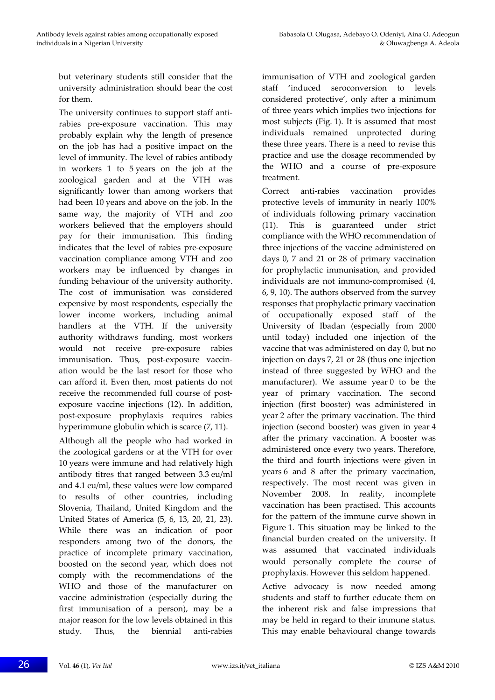but veterinary students still consider that the university administration should bear the cost for them.

The university continues to support staff antirabies pre‐exposure vaccination. This may probably explain why the length of presence on the job has had a positive impact on the level of immunity. The level of rabies antibody in workers 1 to 5 years on the job at the zoological garden and at the VTH was significantly lower than among workers that had been 10 years and above on the job. In the same way, the majority of VTH and zoo workers believed that the employers should pay for their immunisation. This finding indicates that the level of rabies pre‐exposure vaccination compliance among VTH and zoo workers may be influenced by changes in funding behaviour of the university authority. The cost of immunisation was considered expensive by most respondents, especially the lower income workers, including animal handlers at the VTH. If the university authority withdraws funding, most workers would not receive pre‐exposure rabies immunisation. Thus, post-exposure vaccination would be the last resort for those who can afford it. Even then, most patients do not receive the recommended full course of postexposure vaccine injections (12). In addition, post‐exposure prophylaxis requires rabies hyperimmune globulin which is scarce (7, 11).

Although all the people who had worked in the zoological gardens or at the VTH for over 10 years were immune and had relatively high antibody titres that ranged between 3.3 eu/ml and 4.1 eu/ml, these values were low compared to results of other countries, including Slovenia, Thailand, United Kingdom and the United States of America (5, 6, 13, 20, 21, 23). While there was an indication of poor responders among two of the donors, the practice of incomplete primary vaccination, boosted on the second year, which does not comply with the recommendations of the WHO and those of the manufacturer on vaccine administration (especially during the first immunisation of a person), may be a major reason for the low levels obtained in this study. Thus, the biennial anti-rabies

immunisation of VTH and zoological garden staff 'induced seroconversion to levels considered protective', only after a minimum of three years which implies two injections for most subjects (Fig. 1). It is assumed that most individuals remained unprotected during these three years. There is a need to revise this practice and use the dosage recommended by the WHO and a course of pre‐exposure treatment.

Correct anti‐rabies vaccination provides protective levels of immunity in nearly 100% of individuals following primary vaccination (11). This is guaranteed under strict compliance with the WHO recommendation of three injections of the vaccine administered on days 0, 7 and 21 or 28 of primary vaccination for prophylactic immunisation, and provided individuals are not immuno‐compromised (4, 6, 9, 10). The authors observed from the survey responses that prophylactic primary vaccination of occupationally exposed staff of the University of Ibadan (especially from 2000 until today) included one injection of the vaccine that was administered on day 0, but no injection on days 7, 21 or 28 (thus one injection instead of three suggested by WHO and the manufacturer). We assume year 0 to be the year of primary vaccination. The second injection (first booster) was administered in year 2 after the primary vaccination. The third injection (second booster) was given in year 4 after the primary vaccination. A booster was administered once every two years. Therefore, the third and fourth injections were given in years 6 and 8 after the primary vaccination, respectively. The most recent was given in November 2008. In reality, incomplete vaccination has been practised. This accounts for the pattern of the immune curve shown in Figure 1. This situation may be linked to the financial burden created on the university. It was assumed that vaccinated individuals would personally complete the course of prophylaxis. However this seldom happened.

Active advocacy is now needed among students and staff to further educate them on the inherent risk and false impressions that may be held in regard to their immune status. This may enable behavioural change towards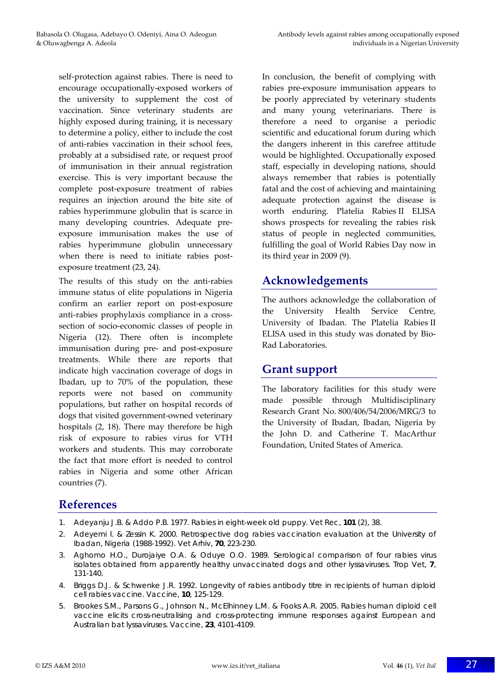self-protection against rabies. There is need to encourage occupationally‐exposed workers of the university to supplement the cost of vaccination. Since veterinary students are highly exposed during training, it is necessary to determine a policy, either to include the cost of anti‐rabies vaccination in their school fees, probably at a subsidised rate, or request proof of immunisation in their annual registration exercise. This is very important because the complete post‐exposure treatment of rabies requires an injection around the bite site of rabies hyperimmune globulin that is scarce in many developing countries. Adequate pre‐ exposure immunisation makes the use of rabies hyperimmune globulin unnecessary when there is need to initiate rabies postexposure treatment (23, 24).

The results of this study on the anti-rabies immune status of elite populations in Nigeria confirm an earlier report on post‐exposure anti‐rabies prophylaxis compliance in a cross‐ section of socio‐economic classes of people in Nigeria (12). There often is incomplete immunisation during pre‐ and post‐exposure treatments. While there are reports that indicate high vaccination coverage of dogs in Ibadan, up to 70% of the population, these reports were not based on community populations, but rather on hospital records of dogs that visited government‐owned veterinary hospitals (2, 18). There may therefore be high risk of exposure to rabies virus for VTH workers and students. This may corroborate the fact that more effort is needed to control rabies in Nigeria and some other African countries (7).

In conclusion, the benefit of complying with rabies pre‐exposure immunisation appears to be poorly appreciated by veterinary students and many young veterinarians. There is therefore a need to organise a periodic scientific and educational forum during which the dangers inherent in this carefree attitude would be highlighted. Occupationally exposed staff, especially in developing nations, should always remember that rabies is potentially fatal and the cost of achieving and maintaining adequate protection against the disease is worth enduring. Platelia Rabies II ELISA shows prospects for revealing the rabies risk status of people in neglected communities, fulfilling the goal of World Rabies Day now in its third year in 2009 (9).

# **Acknowledgements**

The authors acknowledge the collaboration of the University Health Service Centre, University of Ibadan. The Platelia Rabies II ELISA used in this study was donated by Bio‐ Rad Laboratories.

## **Grant support**

The laboratory facilities for this study were made possible through Multidisciplinary Research Grant No. 800/406/54/2006/MRG/3 to the University of Ibadan, Ibadan, Nigeria by the John D. and Catherine T. MacArthur Foundation, United States of America.

# **References**

- 1. Adeyanju J.B. & Addo P.B. 1977. Rabies in eight-week old puppy. *Vet Rec*, **101** (2), 38.
- 2. Adeyemi I. & Zessin K. 2000. Retrospective dog rabies vaccination evaluation at the University of Ibadan, Nigeria (1988-1992). *Vet Arhiv*, **70**, 223-230.
- 3. Aghomo H.O., Durojaiye O.A. & Oduye O.O. 1989. Serological comparison of four rabies virus isolates obtained from apparently healthy unvaccinated dogs and other lyssaviruses. *Trop Vet*, **7**, 131-140.
- 4. Briggs D.J. & Schwenke J.R. 1992. Longevity of rabies antibody titre in recipients of human diploid cell rabies vaccine. *Vaccine*, **10**, 125-129.
- 5. Brookes S.M., Parsons G., Johnson N., McElhinney L.M. & Fooks A.R. 2005. Rabies human diploid cell vaccine elicits cross-neutralising and cross-protecting immune responses against European and Australian bat lyssaviruses. *Vaccine*, **23**, 4101-4109.